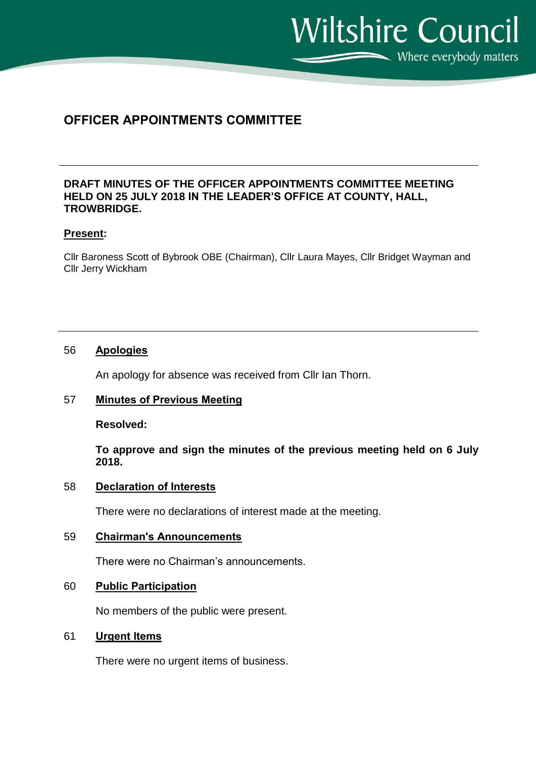$\sum$  Where everybody matters

**Wiltshire Council** 

# **OFFICER APPOINTMENTS COMMITTEE**

## **DRAFT MINUTES OF THE OFFICER APPOINTMENTS COMMITTEE MEETING HELD ON 25 JULY 2018 IN THE LEADER'S OFFICE AT COUNTY, HALL, TROWBRIDGE.**

### **Present:**

Cllr Baroness Scott of Bybrook OBE (Chairman), Cllr Laura Mayes, Cllr Bridget Wayman and Cllr Jerry Wickham

### 56 **Apologies**

An apology for absence was received from Cllr Ian Thorn.

# 57 **Minutes of Previous Meeting**

**Resolved:**

**To approve and sign the minutes of the previous meeting held on 6 July 2018.**

#### 58 **Declaration of Interests**

There were no declarations of interest made at the meeting.

# 59 **Chairman's Announcements**

There were no Chairman's announcements.

#### 60 **Public Participation**

No members of the public were present.

#### 61 **Urgent Items**

There were no urgent items of business.